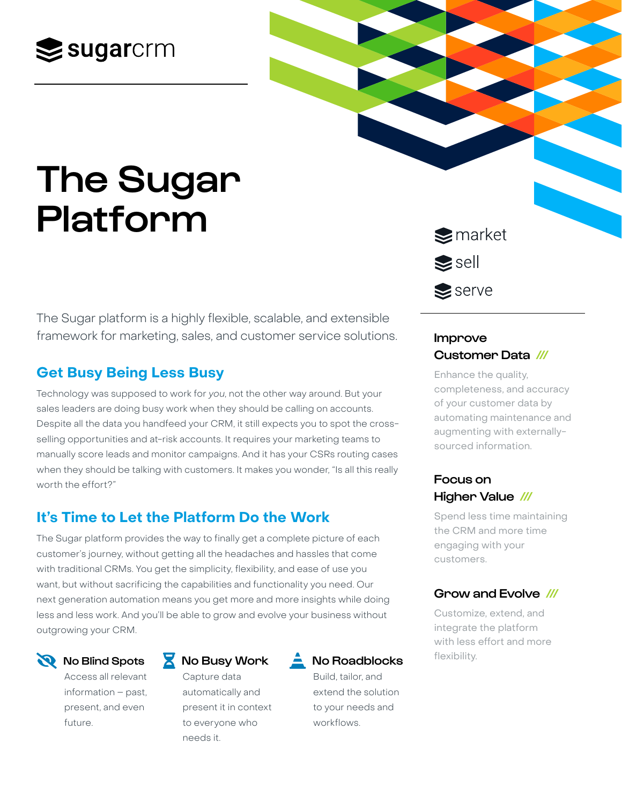## $\mathbf{\geq}$ sugarcrm

# The Sugar Platform

The Sugar platform is a highly flexible, scalable, and extensible framework for marketing, sales, and customer service solutions.

### **Get Busy Being Less Busy**

Technology was supposed to work for you, not the other way around. But your sales leaders are doing busy work when they should be calling on accounts. Despite all the data you handfeed your CRM, it still expects you to spot the crossselling opportunities and at-risk accounts. It requires your marketing teams to manually score leads and monitor campaigns. And it has your CSRs routing cases when they should be talking with customers. It makes you wonder, "Is all this really worth the effort?"

### **It's Time to Let the Platform Do the Work**

The Sugar platform provides the way to finally get a complete picture of each customer's journey, without getting all the headaches and hassles that come with traditional CRMs. You get the simplicity, flexibility, and ease of use you want, but without sacrificing the capabilities and functionality you need. Our next generation automation means you get more and more insights while doing less and less work. And you'll be able to grow and evolve your business without outgrowing your CRM.

#### No Blind Spots

Access all relevant information – past, present, and even future.

#### No Busy Work

Capture data automatically and present it in context to everyone who needs it.



Build, tailor, and extend the solution to your needs and workflows.

 $\blacktriangleright$  market  $\blacktriangleright$ sell  $\triangle$  serve

#### Improve Customer Data ///

Enhance the quality, completeness, and accuracy of your customer data by automating maintenance and augmenting with externallysourced information.

#### Focus on Higher Value ///

Spend less time maintaining the CRM and more time engaging with your customers.

#### Grow and Evolve ///

Customize, extend, and integrate the platform with less effort and more flexibility.